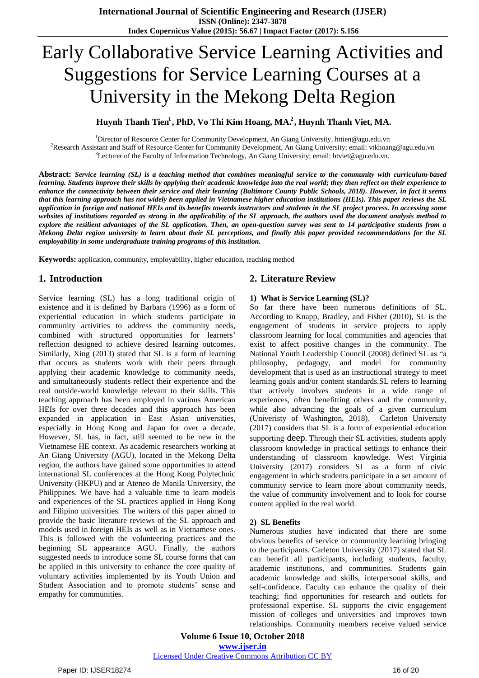# Early Collaborative Service Learning Activities and Suggestions for Service Learning Courses at a University in the Mekong Delta Region

# **1 Huynh Thanh Tien<sup>1</sup>, PhD, Vo Thi Kim Hoang, MA<sup>2</sup>, Huynh Thanh Viet, MA.**

<sup>1</sup>Director of Resource Center for Community Development, An Giang University, httien@agu.edu.vn <sup>2</sup>Research Assistant and Staff of Resource Center for Community Development, An Giang University; email: vtkhoang@agu.edu.vn <sup>3</sup>Lecturer of the Faculty of Information Technology, An Giang University; email: htviet@agu.edu.vn.

**Abstract:** *Service learning (SL) is a teaching method that combines meaningful service to the community with curriculum-based learning. Students improve their skills by applying their academic knowledge into the real world; they then reflect on their experience to enhance the connectivity between their service and their learning (Baltimore County Public Schools, 2018). However, in fact it seems that this learning approach has not widely been applied in Vietnamese higher education institutions (HEIs). This paper reviews the SL application in foreign and national HEIs and its benefits towards instructors and students in the SL project process. In accessing some websites of institutions regarded as strong in the applicability of the SL approach, the authors used the document analysis method to explore the resilient advantages of the SL application. Then, an open-question survey was sent to 14 participative students from a Mekong Delta region university to learn about their SL perceptions, and finally this paper provided recommendations for the SL employability in some undergraduate training programs of this institution.*

**Keywords:** application, community, employability, higher education, teaching method

## **1. Introduction**

Service learning (SL) has a long traditional origin of existence and it is defined by Barbara (1996) as a form of experiential education in which students participate in community activities to address the community needs, combined with structured opportunities for learners' reflection designed to achieve desired learning outcomes. Similarly, Xing (2013) stated that SL is a form of learning that occurs as students work with their peers through applying their academic knowledge to community needs, and simultaneously students reflect their experience and the real outside-world knowledge relevant to their skills. This teaching approach has been employed in various American HEIs for over three decades and this approach has been expanded in application in East Asian universities, especially in Hong Kong and Japan for over a decade. However, SL has, in fact, still seemed to be new in the Vietnamese HE context. As academic researchers working at An Giang University (AGU), located in the Mekong Delta region, the authors have gained some opportunities to attend international SL conferences at the Hong Kong Polytechnic University (HKPU) and at Ateneo de Manila University, the Philippines. We have had a valuable time to learn models and experiences of the SL practices applied in Hong Kong and Filipino universities. The writers of this paper aimed to provide the basic literature reviews of the SL approach and models used in foreign HEIs as well as in Vietnamese ones. This is followed with the volunteering practices and the beginning SL appearance AGU. Finally, the authors suggested needs to introduce some SL course forms that can be applied in this university to enhance the core quality of voluntary activities implemented by its Youth Union and Student Association and to promote students' sense and empathy for communities.

## **2. Literature Review**

### **1) What is Service Learning (SL)?**

So far there have been numerous definitions of SL. According to Knapp, Bradley, and Fisher (2010), SL is the engagement of students in service projects to apply classroom learning for local communities and agencies that exist to affect positive changes in the community. The National Youth Leadership Council (2008) defined SL as "a philosophy, pedagogy, and model for community development that is used as an instructional strategy to meet learning goals and/or content standards.SL refers to learning that actively involves students in a wide range of experiences, often benefitting others and the community, while also advancing the goals of a given curriculum (Univeristy of Washington, 2018). Carleton University (2017) considers that SL is a form of [experiential education](https://serc.carleton.edu/introgeo/service/experiential.html) supporting deep. Through their SL activities, students apply classroom knowledge in practical settings to enhance their understanding of classroom knowledge. West Virginia University (2017) considers SL as a form of civic engagement in which students participate in a set amount of community service to learn more about community needs, the value of community involvement and to look for course content applied in the real world.

### **2) SL Benefits**

Numerous studies have indicated that there are some obvious benefits of service or community learning bringing to the participants. Carleton University (2017) stated that SL can benefit all participants, including students, faculty, academic institutions, and communities. Students gain academic knowledge and skills, interpersonal skills, and self-confidence. Faculty can enhance the quality of their teaching; find opportunities for research and outlets for professional expertise. SL supports the civic engagement mission of colleges and universities and improves town relationships. Community members receive valued service

**Volume 6 Issue 10, October 2018 www.ijser.in** Licensed Under Creative Commons Attribution CC BY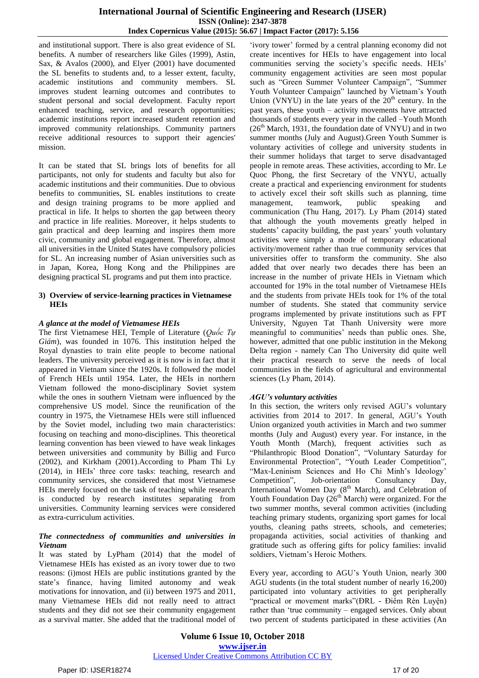and institutional support. There is also great evidence of SL benefits. A number of researchers like Giles (1999), Astin, Sax, & Avalos (2000), and Elyer (2001) have documented the SL benefits to students and, to a lesser extent, faculty, academic institutions and community members. SL improves student learning outcomes and contributes to student personal and social development. Faculty report enhanced teaching, service, and research opportunities; academic institutions report increased student retention and improved community relationships. Community partners receive additional resources to support their agencies' mission.

It can be stated that SL brings lots of benefits for all participants, not only for students and faculty but also for academic institutions and their communities. Due to obvious benefits to communities, SL enables institutions to create and design training programs to be more applied and practical in life. It helps to shorten the gap between theory and practice in life realities. Moreover, it helps students to gain practical and deep learning and inspires them more civic, community and global engagement. Therefore, almost all universities in the United States have compulsory policies for SL. An increasing number of Asian universities such as in Japan, Korea, Hong Kong and the Philippines are designing practical SL programs and put them into practice.

## **3) Overview of service-learning practices in Vietnamese HEIs**

## *A glance at the model of Vietnamese HEIs*

The first Vietnamese HEI, Temple of Literature (*Quốc Tự Giám*), was founded in 1076. This institution helped the Royal dynasties to train elite people to become national leaders. The university perceived as it is now is in fact that it appeared in Vietnam since the 1920s. It followed the model of French HEIs until 1954. Later, the HEIs in northern Vietnam followed the mono-disciplinary Soviet system while the ones in southern Vietnam were influenced by the comprehensive US model. Since the reunification of the country in 1975, the Vietnamese HEIs were still influenced by the Soviet model, including two main characteristics: focusing on teaching and mono-disciplines. This theoretical learning convention has been viewed to have weak linkages between universities and community by Billig and Furco (2002), and Kirkham (2001).According to Pham Thi Ly (2014), in HEIs" three core tasks: teaching, research and community services, she considered that most Vietnamese HEIs merely focused on the task of teaching while research is conducted by research institutes separating from universities. Community learning services were considered as extra-curriculum activities.

#### *The connectedness of communities and universities in Vietnam*

It was stated by LyPham (2014) that the model of Vietnamese HEIs has existed as an ivory tower due to two reasons: (i)most HEIs are public institutions granted by the state"s finance, having limited autonomy and weak motivations for innovation, and (ii) between 1975 and 2011, many Vietnamese HEIs did not really need to attract students and they did not see their community engagement as a survival matter. She added that the traditional model of

'ivory tower' formed by a central planning economy did not create incentives for HEIs to have engagement into local communities serving the society's specific needs. HEIs' community engagement activities are seen most popular such as "Green Summer Volunteer Campaign", "Summer Youth Volunteer Campaign" launched by Vietnam"s Youth Union (VNYU) in the late years of the  $20<sup>th</sup>$  century. In the past years, these youth – activity movements have attracted thousands of students every year in the called –Youth Month  $(26<sup>th</sup> March, 1931, the foundation date of VNYU) and in two$ summer months (July and August).Green Youth Summer is voluntary activities of college and university students in their summer holidays that target to serve disadvantaged people in remote areas. These activities, according to Mr. Le Quoc Phong, the first Secretary of the VNYU, actually create a practical and experiencing environment for students to actively excel their soft skills such as planning, time management, teamwork, public speaking and communication (Thu Hang, 2017). Ly Pham (2014) stated that although the youth movements greatly helped in students' capacity building, the past years' youth voluntary activities were simply a mode of temporary educational activity/movement rather than true community services that universities offer to transform the community. She also added that over nearly two decades there has been an increase in the number of private HEIs in Vietnam which accounted for 19% in the total number of Vietnamese HEIs and the students from private HEIs took for 1% of the total number of students. She stated that community service programs implemented by private institutions such as FPT University, Nguyen Tat Thanh University were more meaningful to communities' needs than public ones. She, however, admitted that one public institution in the Mekong Delta region - namely Can Tho University did quite well their practical research to serve the needs of local communities in the fields of agricultural and environmental sciences (Ly Pham, 2014).

## *AGU's voluntary activities*

In this section, the writers only revised AGU"s voluntary activities from 2014 to 2017. In general, AGU"s Youth Union organized youth activities in March and two summer months (July and August) every year. For instance, in the Youth Month (March), frequent activities such as "Philanthropic Blood Donation", "Voluntary Saturday for Environmental Protection", "Youth Leader Competition", "Max-Leninism Sciences and Ho Chi Minh's Ideology" Competition", Job-orientation Consultancy Day, International Women Day (8<sup>th</sup> March), and Celebration of Youth Foundation Day  $(26<sup>th</sup> March)$  were organized. For the two summer months, several common activities (including teaching primary students, organizing sport games for local youths, cleaning paths streets, schools, and cemeteries; propaganda activities, social activities of thanking and gratitude such as offering gifts for policy families: invalid soldiers, Vietnam"s Heroic Mothers.

Every year, according to AGU"s Youth Union, nearly 300 AGU students (in the total student number of nearly 16,200) participated into voluntary activities to get peripherally "practical or movement marks"(ĐRL - Điểm Rèn Luyện) rather than "true community – engaged services. Only about two percent of students participated in these activities (An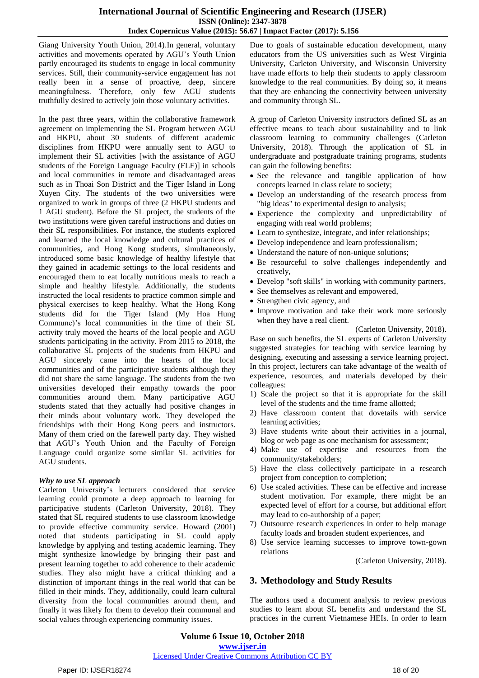## **International Journal of Scientific Engineering and Research (IJSER) ISSN (Online): 2347-3878 Index Copernicus Value (2015): 56.67 | Impact Factor (2017): 5.156**

Giang University Youth Union, 2014).In general, voluntary activities and movements operated by AGU"s Youth Union partly encouraged its students to engage in local community services. Still, their community-service engagement has not really been in a sense of proactive, deep, sincere meaningfulness. Therefore, only few AGU students truthfully desired to actively join those voluntary activities.

In the past three years, within the collaborative framework agreement on implementing the SL Program between AGU and HKPU, about 30 students of different academic disciplines from HKPU were annually sent to AGU to implement their SL activities [with the assistance of AGU students of the Foreign Language Faculty (FLF)] in schools and local communities in remote and disadvantaged areas such as in Thoai Son District and the Tiger Island in Long Xuyen City. The students of the two universities were organized to work in groups of three (2 HKPU students and 1 AGU student). Before the SL project, the students of the two institutions were given careful instructions and duties on their SL responsibilities. For instance, the students explored and learned the local knowledge and cultural practices of communities, and Hong Kong students, simultaneously, introduced some basic knowledge of healthy lifestyle that they gained in academic settings to the local residents and encouraged them to eat locally nutritious meals to reach a simple and healthy lifestyle. Additionally, the students instructed the local residents to practice common simple and physical exercises to keep healthy. What the Hong Kong students did for the Tiger Island (My Hoa Hung Commune)'s local communities in the time of their SL activity truly moved the hearts of the local people and AGU students participating in the activity. From 2015 to 2018, the collaborative SL projects of the students from HKPU and AGU sincerely came into the hearts of the local communities and of the participative students although they did not share the same language. The students from the two universities developed their empathy towards the poor communities around them. Many participative AGU students stated that they actually had positive changes in their minds about voluntary work. They developed the friendships with their Hong Kong peers and instructors. Many of them cried on the farewell party day. They wished that AGU"s Youth Union and the Faculty of Foreign Language could organize some similar SL activities for AGU students.

### *Why to use SL approach*

Carleton University"s lecturers considered that service learning could promote a deep approach to learning for participative students (Carleton University, 2018). They stated that SL required students to use classroom knowledge to provide effective community service. Howard (2001) noted that students participating in SL could apply knowledge by applying and testing academic learning. They might synthesize knowledge by bringing their past and present learning together to add coherence to their academic studies. They also might have a critical thinking and a distinction of important things in the real world that can be filled in their minds. They, additionally, could learn cultural diversity from the local communities around them, and finally it was likely for them to develop their communal and social values through experiencing community issues.

Due to goals of sustainable education development, many educators from the US universities such as West Virginia University, Carleton University, and Wisconsin University have made efforts to help their students to apply classroom knowledge to the real communities. By doing so, it means that they are enhancing the connectivity between university and community through SL.

A group of Carleton University instructors defined SL as an effective means to teach about sustainability and to link classroom learning to community challenges (Carleton University, 2018). Through the application of SL in undergraduate and postgraduate training programs, students can gain the following benefits:

- See the relevance and tangible application of how concepts learned in class relate to society;
- Develop an understanding of the research process from "big ideas" to experimental design to analysis;
- Experience the complexity and unpredictability of engaging with real world problems;
- Learn to synthesize, integrate, and infer relationships;
- Develop independence and learn professionalism;
- Understand the nature of non-unique solutions:
- Be resourceful to solve challenges independently and creatively,
- Develop "soft skills" in working with community partners,
- See themselves as relevant and empowered,
- Strengthen civic agency, and
- Improve motivation and take their work more seriously when they have a real client.

(Carleton University, 2018).

Base on such benefits, the SL experts of Carleton University suggested strategies for teaching with service learning by designing, executing and assessing a service learning project. In this project, lecturers can take advantage of the wealth of experience, resources, and materials developed by their colleagues:

- 1) Scale the project so that it is appropriate for the skill level of the students and the time frame allotted;
- 2) Have classroom content that dovetails with service learning activities;
- 3) Have students write about their activities in a journal, blog or web page as one mechanism for assessment;
- 4) Make use of expertise and resources from the community/stakeholders;
- 5) Have the class collectively participate in a research project from conception to completion;
- 6) Use scaled activities. These can be effective and increase student motivation. For example, there might be an expected level of effort for a course, but additional effort may lead to co-authorship of a paper;
- 7) Outsource research experiences in order to help manage faculty loads and broaden student experiences, and
- 8) Use service learning successes to improve town-gown relations

(Carleton University, 2018).

# **3. Methodology and Study Results**

The authors used a document analysis to review previous studies to learn about SL benefits and understand the SL practices in the current Vietnamese HEIs. In order to learn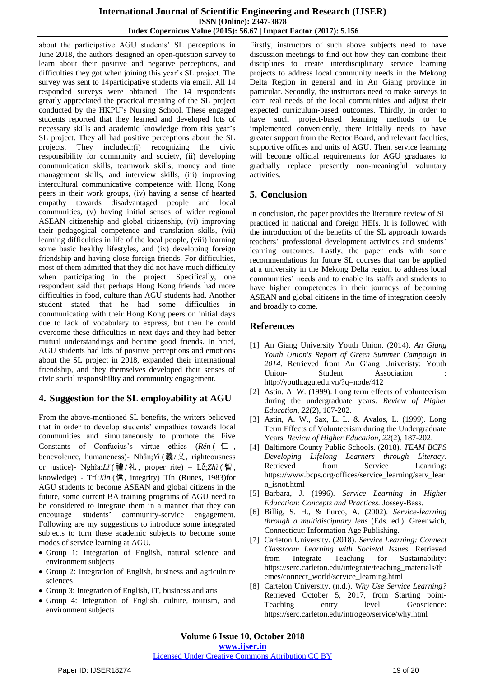about the participative AGU students' SL perceptions in June 2018, the authors designed an open-question survey to learn about their positive and negative perceptions, and difficulties they got when joining this year"s SL project. The survey was sent to 14participative students via email. All 14 responded surveys were obtained. The 14 respondents greatly appreciated the practical meaning of the SL project conducted by the HKPU"s Nursing School. These engaged students reported that they learned and developed lots of necessary skills and academic knowledge from this year"s SL project. They all had positive perceptions about the SL projects. They included:(i) recognizing the civic responsibility for community and society, (ii) developing communication skills, teamwork skills, money and time management skills, and interview skills, (iii) improving intercultural communicative competence with Hong Kong peers in their work groups, (iv) having a sense of hearted empathy towards disadvantaged people and local communities, (v) having initial senses of wider regional ASEAN citizenship and global citizenship, (vi) improving their pedagogical competence and translation skills, (vii) learning difficulties in life of the local people, (viii) learning some basic healthy lifestyles, and (ix) developing foreign friendship and having close foreign friends. For difficulties, most of them admitted that they did not have much difficulty when participating in the project. Specifically, one respondent said that perhaps Hong Kong friends had more difficulties in food, culture than AGU students had. Another student stated that he had some difficulties in communicating with their Hong Kong peers on initial days due to lack of vocabulary to express, but then he could overcome these difficulties in next days and they had better mutual understandings and became good friends. In brief, AGU students had lots of positive perceptions and emotions about the SL project in 2018, expanded their international friendship, and they themselves developed their senses of civic social responsibility and community engagement.

# **4. Suggestion for the SL employability at AGU**

From the above-mentioned SL benefits, the writers believed that in order to develop students" empathies towards local communities and simultaneously to promote the Five Constants of Confucius"s virtue ethics (*[Rén](https://en.wikipedia.org/wiki/Ren_(Confucianism))* ( 仁 , benevolence, humaneness)- Nhân;*[Yì](https://en.wikipedia.org/wiki/Yi_(Confucianism))* (義/义, righteousness or justice)- Nghĩa;*[Lǐ](https://en.wikipedia.org/wiki/Li_(Confucianism))* ( 禮 / 礼 , proper rite) – Lễ;*Zhì* ( 智 , knowledge) - Trí;*Xìn* (信, integrity) Tín (Runes, 1983)for AGU students to become ASEAN and global citizens in the future, some current BA training programs of AGU need to be considered to integrate them in a manner that they can encourage students" community-service engagement. Following are my suggestions to introduce some integrated subjects to turn these academic subjects to become some modes of service learning at AGU.

- Group 1: Integration of English, natural science and environment subjects
- Group 2: Integration of English, business and agriculture sciences
- Group 3: Integration of English, IT, business and arts
- Group 4: Integration of English, culture, tourism, and environment subjects

Firstly, instructors of such above subjects need to have discussion meetings to find out how they can combine their disciplines to create interdisciplinary service learning projects to address local community needs in the Mekong Delta Region in general and in An Giang province in particular. Secondly, the instructors need to make surveys to learn real needs of the local communities and adjust their expected curriculum-based outcomes. Thirdly, in order to have such project-based learning methods to be implemented conveniently, there initially needs to have greater support from the Rector Board, and relevant faculties, supportive offices and units of AGU. Then, service learning will become official requirements for AGU graduates to gradually replace presently non-meaningful voluntary activities.

# **5. Conclusion**

In conclusion, the paper provides the literature review of SL practiced in national and foreign HEIs. It is followed with the introduction of the benefits of the SL approach towards teachers" professional development activities and students" learning outcomes. Lastly, the paper ends with some recommendations for future SL courses that can be applied at a university in the Mekong Delta region to address local communities" needs and to enable its staffs and students to have higher competences in their journeys of becoming ASEAN and global citizens in the time of integration deeply and broadly to come.

# **References**

- [1] An Giang University Youth Union. (2014). *An Giang Youth Union's Report of Green Summer Campaign in 2014*. Retrieved from An Giang Univeristy: Youth Union-<br>
Student
<br>
Association http://youth.agu.edu.vn/?q=node/412
- [2] Astin, A. W. (1999). Long term effects of volunteerism during the undergraduate years. *Review of Higher Education, 22*(2), 187-202.
- [3] Astin, A. W., Sax, L. L. & Avalos, L. (1999). Long Term Effects of Volunteerism during the Undergraduate Years. *Review of Higher Education, 22*(2), 187-202.
- [4] Baltimore County Public Schools. (2018). *TEAM BCPS Developing Lifelong Learners through Literacy*. Retrieved from Service Learning: https://www.bcps.org/offices/service\_learning/serv\_lear n\_isnot.html
- [5] Barbara, J. (1996). *Service Learning in Higher Education: Concepts and Practices.* Jossey-Bass.
- [6] Billig, S. H., & Furco, A. (2002). *Service-learning through a multidiscipnary lens* (Eds. ed.). Greenwich, Connecticut: Information Age Publishing.
- [7] Carleton University. (2018). *Service Learning: Connect Classroom Learning with Societal Issues*. Retrieved from Integrate Teaching for Sustainability: https://serc.carleton.edu/integrate/teaching\_materials/th emes/connect\_world/service\_learning.html
- [8] Cartelon University. (n.d.). *Why Use Service Learning?* Retrieved October 5, 2017, from Starting point-Teaching entry level Geoscience: https://serc.carleton.edu/introgeo/service/why.html

### Licensed Under Creative Commons Attribution CC BY